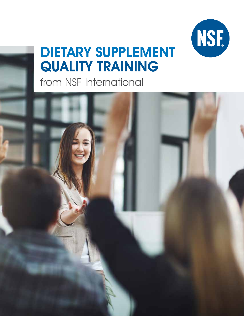

# DIETARY SUPPLEMENT QUALITY TRAINING

from NSF International

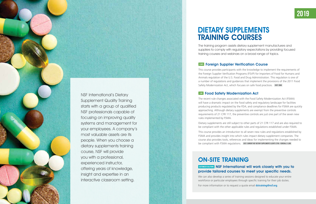

NSF International's Dietary Supplement Quality Training starts with a group of qualified NSF professionals capable of focusing on improving quality systems and management for your employees. A company's most valuable assets are its people. When you choose a dietary supplements training course, NSF will provide you with a professional, experienced instructor, offering years of knowledge, insight and expertise in an interactive classroom setting.

This course provides participants with the knowledge to implement the requirements of the Foreign Supplier Verification Programs (FSVP) for Importers of Food for Humans and Animals regulation of the U.S. Food and Drug Administration. This regulation is one of a number of regulations and guidances that implement the provisions of the 2011 Food Safety Modernization Act, which focuses on safe food practices. **COST: \$900** 

#### **100Y Food Safety Modernization Act**

The training program assists dietary supplement manufacturers and suppliers to comply with regulatory expectations by providing focused training courses and webinars on a broad range of topics.

#### **2008 Foreign Supplier Verification Course**

- Dietary supplements are still subject to other parts of 21 CFR 117 and are also required to be compliant with the other applicable rules and regulations established under FSMA.
- This course provides an introduction to all seven new rules and regulations established by FSMA and provides insight into which rules impact dietary supplement companies. The course also provides tools, references and ideas for implementing the changes needed to be compliant with FSMA regulations. **COST: CURRENT NSF DIETARY SUPPLEMENTS CLIENTS \$700 / GENERAL \$1,000**

The recent rule changes associated with the Food Safety Modernization Act (FSMA) will have a dramatic impact on the food safety and regulatory landscape for facilities producing products regulated by the FDA; and compliance deadlines for FSMA are quickly approaching. Although dietary supplements are exempt from the preventive controls requirements of 21 CFR 117, the preventive controls are just one part of the seven new rules implemented by FSMA.

## DIETARY SUPPLEMENTS TRAINING COURSES

### ON-SITE TRAINING **CUSTOMIZED SOLUTIONS** NSF International will work closely with you to provide tailored courses to meet your specific needs.

- We can also develop a series of training sessions designed to educate your entire workforce or particular employees through specific training for their job duties.
- For more information or to request a quote email **dstraining@nsf.org**.

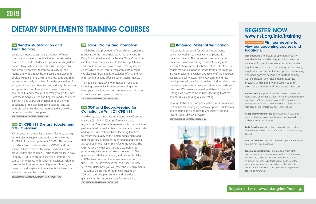#### **100Y** Vendor Qualification and Audit Training

Unless you intend to test every shipment of every component for every specification, you must qualify your vendors. But FDA does not provide much guidance on how to qualify vendors. This class is designed to give people who want to improve quality in their facility, and who already have a basic understanding of dietary supplement GMPs, the knowledge and skills necessary to qualify suppliers. Since the evaluation of all types of suppliers often involves auditing, this course incorporates a fresh look at the process of auditing and the skills and techniques necessary to get the most from these activities. The auditing skills and techniques learned in this course are independent of the type of auditing or the standard being audited, and will be useful when conducting internal audits as well as performing audits of suppliers.

#### **20AYS** 21 CFR 111 Dietary Supplement GMP Overview

**Cost: Current NSF GMP Clients \$700 / General \$1,000** 

#### **100Y SOP and Recordkeeping for** Compliance With 21 CFR 111

FDA expects all companies that manufacture, package or hold dietary supplement products to follow the 21 CFR 111 dietary supplement CGMPs. This course provides a basic understanding of CGMPs and the responsibilities expected for various individuals and groups within the company. Participants will learn how to apply CGMP principles to specific situations. The course is interactive, with hands-on exercises including case studies from recent warning letters. Bring your questions and prepare to interact with the instructor and your peers in the industry.

**Cost: Current NSF Dietary Supplements Clients \$1,100 / General \$1,500**

#### **100Y** Label Claims and Promotion

The labeling and promotion of your dietary supplement products are the most visible ways that the Food & Drug Administration and the Federal Trade Commission can track your compliance with federal regulations. This course shows you how to avoid making implied claims which could lead to regulatory enforcement. We also cover how public knowledge of FTC and FDA enforcement actions affects business performance.

The course is interactive, with hands-on exercises including case studies from recent warning letters. Bring your questions and prepare to interact with the instructor and your peers in the industry.

#### **GROUP DISCOUNTS OFFERED** Visit our website to view our upcoming courses and locations.

**Cost: Current NSF GMP Clients \$700 / General \$1,000** 

**Payment Policy:** Payment for public courses is due upon registration. Course registration is not official until payment is received. NSF International accepts Visa, MasterCard and American Express. If another method of payment is required, please contact 800-NSF-MARK, x5600.

The dietary supplement Current Good Manufacturing Practices (21 CFR 111) are performance-based regulations. The rules require persons who manufacture, package, label or hold a dietary supplement to establish and follow Current Good Manufacturing Practices to ensure the quality of the dietary supplement and that the dietary supplement is packaged and labeled as specified in the master manufacturing record. The CGMPs specify what you have to accomplish, but provide very little detail in how to go about it. The good news is that you have a great deal of flexibility in HOW to accomplish the requirements set forth in the CGMP. The downside is that YOU have to write SOPs that detail how you will meet those requirements. This course guides you through constructing an SOP and recordkeeping system, and provides guidance on the necessary tools for compliance. **Cost: Current NSF GMP Clients \$700 / General \$1,000**

#### **104Y Botanical Material Verification**

This course is designed for any quality assurance personnel working to meet FDA compliance for botanical identity. This course focuses on analyzing botanical unknowns through classical botany and sensory testing systems for botanical identification. This course may also support in-house testing for botanical ID. We provide an overview and review of the important aspects of quality assurance in QA testing and test development of botanical ingredients and its relations to the natural products industry and alternative medicine practices. We review proposed guidelines for herbal ID testing as it relates to Good Manufacturing Practices and all issues regarding quality testing.

Through lectures and lab participation, we also focus on techniques for identifying botanical species, adulterants and contaminants and how to analytically test and record these subjective systems.

**Cost: Current NSF GMP Clients \$700 / General \$1,000** 



#### Register today at www.nsf.org/info/training.



### REGISTER NOW: www.nsf.org/info/training

NSF supports the dietary supplement industry worldwide by providing high-quality training on a variety of topics instrumental to understanding regulations and critical to achieving or maintaining regulatory compliance. Our comprehensive training approach goes far beyond just content delivery. Our instructors' extensive industry expertise provides tangible, real-world case studies of workplace situations and one-on-one interaction.

**Cancellation/Transfer Policy:** Substitutions are welcome anytime; however please notify us as soon as possible to make the necessary changes

**Early Cancellations:** More than two weeks prior to the course date will be issued a refund less a 25% processing charge.

**Late Cancellations:** Less than two weeks prior to the course date are not issued a refund

**Program Cancellation:** NSF International reserves the right to cancel or postpone a course due to unforeseen circumstances. Should this occur, you will be notified as soon as possible. All efforts will be made to notify participants at least two weeks before the scheduled events. If NSF cancels a course, your entire registration fee will be refunded.

## DIETARY SUPPLEMENTS TRAINING COURSES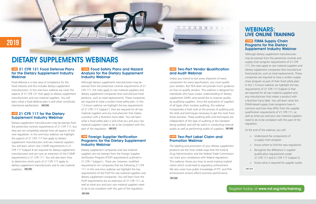#### **5 hours** Two-Part Vendor Qualification and Audit Webinar

H

#### **5HOURS** Two-Part Label Claim and Promotion Webinar

Unless you intend to test every shipment of every component for every specification, you must qualify your vendors. But FDA does not provide much guidance on how to qualify vendors. This webinar is designed for individuals who have a basic understanding of dietary supplement GMPs, and would like to improve quality by qualifying suppliers. Since the evaluation of suppliers of all types often involves auditing, this webinar incorporates a fresh look at the process of auditing and the skills and techniques necessary to get the most from these activities. These auditing skills and techniques are independent of the type of auditing or the standard being audited, and will be useful in conducting internal audits as well as performing audits of suppliers. **COST: \$450**

#### **1HOUR** 21 CFR 117 for the Dietary Supplement Industry Webinar

The labeling and promotion of your dietary supplement products are the most visible ways that the Food & Drug Administration and the Federal Trade Commission can track your compliance with federal regulations. This webinar shows you how to avoid making implied claims which could lead to regulatory enforcement. We also cover how public knowledge of FTC and FDA enforcement actions affects business performance.

Although dietary supplement manufacturers may be exempt from the preventive controls requirements of 21 CFR 117, the rules apply to raw material suppliers and dietary supplement companies that manufacture food products, such as meal replacements. These companies are required to have a written food safety plan. In this 1.5-hours webinar we highlight the key requirements of 21 CFR 117 Subpart C that are required for all raw material suppliers and any manufacturer that makes a product with a Nutrition Facts label. You will learn what a food safety plan is and what you and your raw material suppliers need to do to be compliant with this part of the regulation. **COST: \$275** 

**COST: \$450**

Food defense is a new area of compliance for the food industry and this includes dietary supplement manufacturers. In this one-hour webinar we cover the aspects of 21 CFR 121 that apply to dietary supplement manufacturers and raw material suppliers. You will learn what a food defense plan is and what constitutes intentional adulteration. **COST: \$250**

#### **1HOUR** Foreign Supplier Verification Programs for the Dietary Supplement Industry Webinar

#### **1.5 HOURS FSMA Supply Chain** Programs for the Dietary Supplement Industry Webinar

Dietary supplement manufacturers may be exempt from the preventive controls requirements of 21 CFR 117, but they are not completely exempt from all aspects of this new regulation. In this one-hour webinar we highlight the aspects of 21 CFR 117 that apply to dietary supplement manufacturers and raw material suppliers. You will learn which new CGMP requirements in 21 CFR 117 Subpart B are required for dietary supplement manufacturers and are now an extension of the CGMP requirements in 21 CFR 111. You will also learn how to determine which parts of 21 CFR 117 apply to dietary supplement manufacturers and to raw material suppliers. **COST: \$250**

#### **1.5 hours** Food Safety Plans and Hazard Analysis for the Dietary Supplement Industry Webinar

Dietary supplement companies and raw material suppliers are not exempt from the Foreign Supplier Verification Program (FSVP) requirements outlined in 21 CFR 1 Subpart L. There are, however, modified requirements for companies that are following 21 CFR 111. In this one-hour webinar we highlight the key requirements of the FSVP for raw material suppliers and dietary supplement companies. You will learn how the FSVP requirements are an extension of 21 CFR 111, as well as what you and your raw material suppliers need to do to be compliant with this part of the regulation.

### WEBINARS: LIVE ONLINE TRAINING

Although dietary supplement manufacturers may be exempt from the preventive controls and supply chain program requirements of 21 CFR 117, the rules apply to raw material suppliers and dietary supplement companies that manufacture food products, such as meal replacements. These companies are required to have a written supply chain program as part of their food safety plan. In this 1.5-hours webinar we highlight the key requirements of 21 CFR 117 Subpart G that are required for all raw material suppliers and any manufacturer that makes a product with a Nutrition Facts label. You will learn what the FSMA-based supply chain programs have in common and how they differ from the supplier qualification requirements of 21 CFR 111, as well as what you and your raw material suppliers need to do to be compliant with this part of the regulation.

At the end of the webinar, you will:

| > Understand the components of |
|--------------------------------|
| a supply chain program         |

- > Know where to find the new regulations
- > Recognize the difference in supplier qualification requirements under 21 CFR 111 and 21 CFR 117 Subpart G
- > Know what is required for supplier audits

**COST: \$275**

## DIETARY SUPPLEMENTS WEBINARS

#### **1HOUR** 21 CFR 121 Food Defense Plans for the Dietary Supplement Industry **Webinar**

**2019**